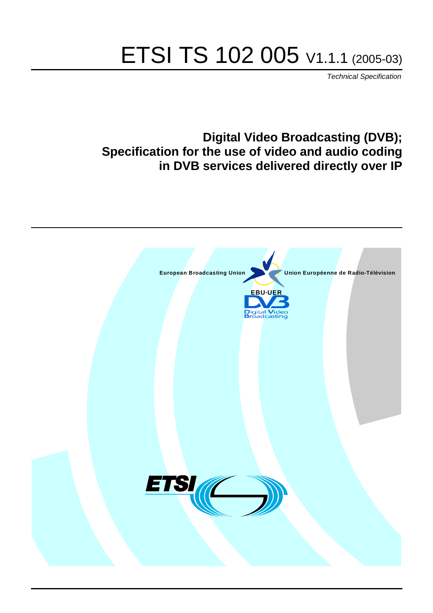# ETSI TS 102 005 V1.1.1 (2005-03)

Technical Specification

# **Digital Video Broadcasting (DVB); Specification for the use of video and audio coding in DVB services delivered directly over IP**

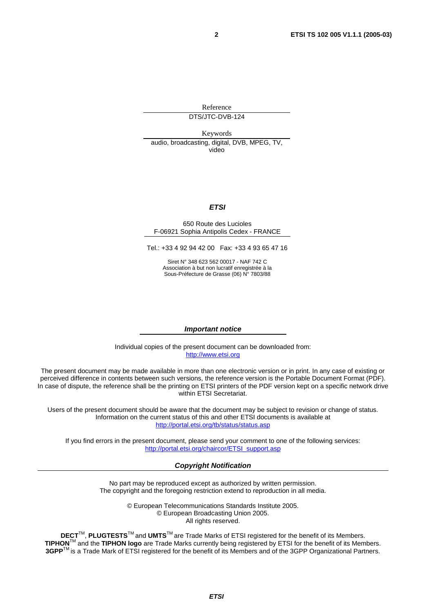Reference

DTS/JTC-DVB-124

Keywords audio, broadcasting, digital, DVB, MPEG, TV, video

#### **ETSI**

#### 650 Route des Lucioles F-06921 Sophia Antipolis Cedex - FRANCE

Tel.: +33 4 92 94 42 00 Fax: +33 4 93 65 47 16

Siret N° 348 623 562 00017 - NAF 742 C Association à but non lucratif enregistrée à la Sous-Préfecture de Grasse (06) N° 7803/88

#### **Important notice**

Individual copies of the present document can be downloaded from: [http://www.etsi.org](http://www.etsi.org/)

The present document may be made available in more than one electronic version or in print. In any case of existing or perceived difference in contents between such versions, the reference version is the Portable Document Format (PDF). In case of dispute, the reference shall be the printing on ETSI printers of the PDF version kept on a specific network drive within ETSI Secretariat.

Users of the present document should be aware that the document may be subject to revision or change of status. Information on the current status of this and other ETSI documents is available at <http://portal.etsi.org/tb/status/status.asp>

If you find errors in the present document, please send your comment to one of the following services: [http://portal.etsi.org/chaircor/ETSI\\_support.asp](http://portal.etsi.org/chaircor/ETSI_support.asp)

#### **Copyright Notification**

No part may be reproduced except as authorized by written permission. The copyright and the foregoing restriction extend to reproduction in all media.

> © European Telecommunications Standards Institute 2005. © European Broadcasting Union 2005. All rights reserved.

**DECT**TM, **PLUGTESTS**TM and **UMTS**TM are Trade Marks of ETSI registered for the benefit of its Members. **TIPHON**TM and the **TIPHON logo** are Trade Marks currently being registered by ETSI for the benefit of its Members. **3GPP**TM is a Trade Mark of ETSI registered for the benefit of its Members and of the 3GPP Organizational Partners.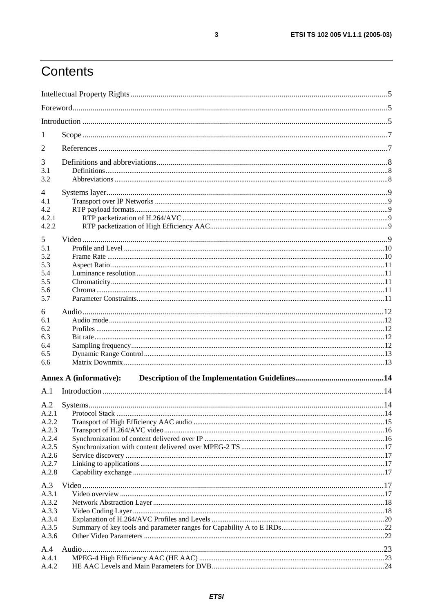# Contents

| 1                        |                               |    |
|--------------------------|-------------------------------|----|
| $\overline{2}$           |                               |    |
| 3                        |                               |    |
| 3.1                      |                               |    |
| 3.2                      |                               |    |
| $\overline{\mathcal{A}}$ |                               |    |
| 4.1                      |                               |    |
| 4.2                      |                               |    |
| 4.2.1                    |                               |    |
| 4.2.2                    |                               |    |
| 5                        |                               |    |
| 5.1                      |                               |    |
| 5.2                      |                               |    |
| 5.3                      |                               |    |
| 5.4                      |                               |    |
| 5.5                      |                               |    |
| 5.6<br>5.7               |                               |    |
|                          |                               |    |
| 6                        |                               |    |
| 6.1                      |                               |    |
| 6.2                      |                               |    |
| 6.3                      |                               |    |
| 6.4<br>6.5               |                               |    |
| 6.6                      |                               |    |
|                          |                               |    |
|                          | <b>Annex A (informative):</b> |    |
| A.1                      |                               |    |
| A.2                      |                               |    |
| A.2.1                    | Protocol Stack                | 14 |
| A.2.2                    |                               |    |
| A.2.3                    |                               |    |
| A.2.4                    |                               |    |
| A.2.5                    |                               |    |
| A.2.6                    |                               |    |
| A.2.7<br>A.2.8           |                               |    |
|                          |                               |    |
| A.3                      |                               |    |
| A.3.1                    |                               |    |
| A.3.2                    |                               |    |
| A.3.3                    |                               |    |
| A.3.4                    |                               |    |
| A.3.5                    |                               |    |
| A.3.6                    |                               |    |
| A.4                      |                               |    |
| A.4.1                    |                               |    |
| A.4.2                    |                               |    |

 $\mathbf{3}$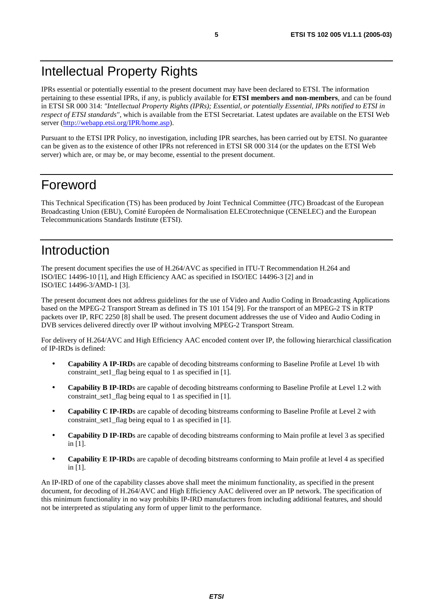# Intellectual Property Rights

IPRs essential or potentially essential to the present document may have been declared to ETSI. The information pertaining to these essential IPRs, if any, is publicly available for **ETSI members and non-members**, and can be found in ETSI SR 000 314: *"Intellectual Property Rights (IPRs); Essential, or potentially Essential, IPRs notified to ETSI in respect of ETSI standards"*, which is available from the ETSI Secretariat. Latest updates are available on the ETSI Web server ([http://webapp.etsi.org/IPR/home.asp\)](http://webapp.etsi.org/IPR/home.asp).

Pursuant to the ETSI IPR Policy, no investigation, including IPR searches, has been carried out by ETSI. No guarantee can be given as to the existence of other IPRs not referenced in ETSI SR 000 314 (or the updates on the ETSI Web server) which are, or may be, or may become, essential to the present document.

#### Foreword

This Technical Specification (TS) has been produced by Joint Technical Committee (JTC) Broadcast of the European Broadcasting Union (EBU), Comité Européen de Normalisation ELECtrotechnique (CENELEC) and the European Telecommunications Standards Institute (ETSI).

### Introduction

The present document specifies the use of H.264/AVC as specified in ITU-T Recommendation H.264 and ISO/IEC 14496-10 [1], and High Efficiency AAC as specified in ISO/IEC 14496-3 [2] and in ISO/IEC 14496-3/AMD-1 [3].

The present document does not address guidelines for the use of Video and Audio Coding in Broadcasting Applications based on the MPEG-2 Transport Stream as defined in TS 101 154 [9]. For the transport of an MPEG-2 TS in RTP packets over IP, RFC 2250 [8] shall be used. The present document addresses the use of Video and Audio Coding in DVB services delivered directly over IP without involving MPEG-2 Transport Stream.

For delivery of H.264/AVC and High Efficiency AAC encoded content over IP, the following hierarchical classification of IP-IRDs is defined:

- **Capability A IP-IRD**s are capable of decoding bitstreams conforming to Baseline Profile at Level 1b with constraint set1 flag being equal to 1 as specified in [1].
- **Capability B IP-IRD**s are capable of decoding bitstreams conforming to Baseline Profile at Level 1.2 with constraint set1 flag being equal to 1 as specified in [1].
- **Capability C IP-IRD**s are capable of decoding bitstreams conforming to Baseline Profile at Level 2 with constraint\_set1\_flag being equal to 1 as specified in [1].
- **Capability D IP-IRD**s are capable of decoding bitstreams conforming to Main profile at level 3 as specified in [1].
- **Capability E IP-IRD**s are capable of decoding bitstreams conforming to Main profile at level 4 as specified in [1].

An IP-IRD of one of the capability classes above shall meet the minimum functionality, as specified in the present document, for decoding of H.264/AVC and High Efficiency AAC delivered over an IP network. The specification of this minimum functionality in no way prohibits IP-IRD manufacturers from including additional features, and should not be interpreted as stipulating any form of upper limit to the performance.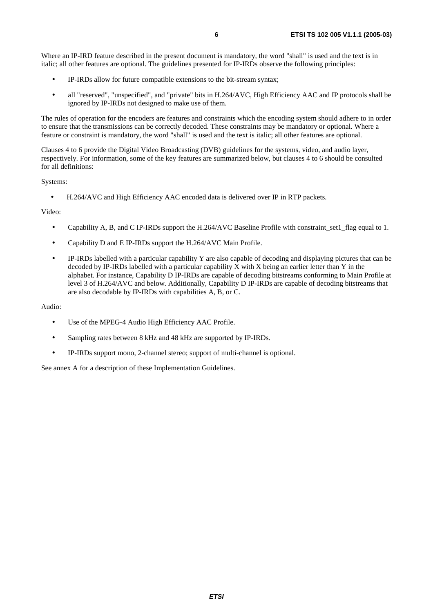Where an IP-IRD feature described in the present document is mandatory, the word "shall" is used and the text is in italic; all other features are optional. The guidelines presented for IP-IRDs observe the following principles:

- IP-IRDs allow for future compatible extensions to the bit-stream syntax;
- all "reserved", "unspecified", and "private" bits in H.264/AVC, High Efficiency AAC and IP protocols shall be ignored by IP-IRDs not designed to make use of them.

The rules of operation for the encoders are features and constraints which the encoding system should adhere to in order to ensure that the transmissions can be correctly decoded. These constraints may be mandatory or optional. Where a feature or constraint is mandatory, the word "shall" is used and the text is italic; all other features are optional.

Clauses 4 to 6 provide the Digital Video Broadcasting (DVB) guidelines for the systems, video, and audio layer, respectively. For information, some of the key features are summarized below, but clauses 4 to 6 should be consulted for all definitions:

Systems:

• H.264/AVC and High Efficiency AAC encoded data is delivered over IP in RTP packets.

Video:

- Capability A, B, and C IP-IRDs support the H.264/AVC Baseline Profile with constraint set1 flag equal to 1.
- Capability D and E IP-IRDs support the H.264/AVC Main Profile.
- IP-IRDs labelled with a particular capability Y are also capable of decoding and displaying pictures that can be decoded by IP-IRDs labelled with a particular capability  $\overline{X}$  with X being an earlier letter than Y in the alphabet. For instance, Capability D IP-IRDs are capable of decoding bitstreams conforming to Main Profile at level 3 of H.264/AVC and below. Additionally, Capability D IP-IRDs are capable of decoding bitstreams that are also decodable by IP-IRDs with capabilities A, B, or C.

Audio:

- Use of the MPEG-4 Audio High Efficiency AAC Profile.
- Sampling rates between 8 kHz and 48 kHz are supported by IP-IRDs.
- IP-IRDs support mono, 2-channel stereo; support of multi-channel is optional.

See annex A for a description of these Implementation Guidelines.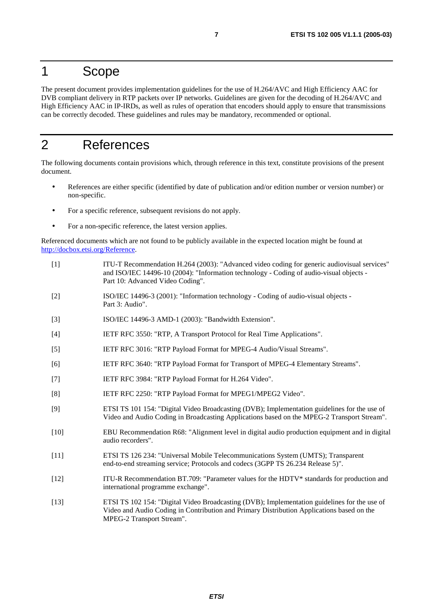#### 1 Scope

The present document provides implementation guidelines for the use of H.264/AVC and High Efficiency AAC for DVB compliant delivery in RTP packets over IP networks. Guidelines are given for the decoding of H.264/AVC and High Efficiency AAC in IP-IRDs, as well as rules of operation that encoders should apply to ensure that transmissions can be correctly decoded. These guidelines and rules may be mandatory, recommended or optional.

#### 2 References

The following documents contain provisions which, through reference in this text, constitute provisions of the present document.

- References are either specific (identified by date of publication and/or edition number or version number) or non-specific.
- For a specific reference, subsequent revisions do not apply.
- For a non-specific reference, the latest version applies.

Referenced documents which are not found to be publicly available in the expected location might be found at <http://docbox.etsi.org/Reference>.

- [1] ITU-T Recommendation H.264 (2003): "Advanced video coding for generic audiovisual services" and ISO/IEC 14496-10 (2004): "Information technology - Coding of audio-visual objects - Part 10: Advanced Video Coding".
- [2] ISO/IEC 14496-3 (2001): "Information technology Coding of audio-visual objects Part 3: Audio".
- [3] ISO/IEC 14496-3 AMD-1 (2003): "Bandwidth Extension".
- [4] IETF RFC 3550: "RTP, A Transport Protocol for Real Time Applications".
- [5] IETF RFC 3016: "RTP Payload Format for MPEG-4 Audio/Visual Streams".
- [6] IETF RFC 3640: "RTP Payload Format for Transport of MPEG-4 Elementary Streams".
- [7] IETF RFC 3984: "RTP Payload Format for H.264 Video".
- [8] IETF RFC 2250: "RTP Payload Format for MPEG1/MPEG2 Video".
- [9] ETSI TS 101 154: "Digital Video Broadcasting (DVB); Implementation guidelines for the use of Video and Audio Coding in Broadcasting Applications based on the MPEG-2 Transport Stream".
- [10] EBU Recommendation R68: "Alignment level in digital audio production equipment and in digital audio recorders".
- [11] ETSI TS 126 234: "Universal Mobile Telecommunications System (UMTS); Transparent end-to-end streaming service; Protocols and codecs (3GPP TS 26.234 Release 5)".
- [12] ITU-R Recommendation BT.709: "Parameter values for the HDTV\* standards for production and international programme exchange".
- [13] ETSI TS 102 154: "Digital Video Broadcasting (DVB); Implementation guidelines for the use of Video and Audio Coding in Contribution and Primary Distribution Applications based on the MPEG-2 Transport Stream".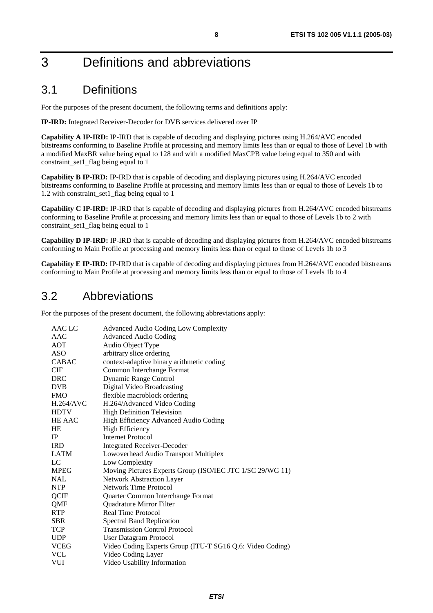# 3 Definitions and abbreviations

#### 3.1 Definitions

For the purposes of the present document, the following terms and definitions apply:

**IP-IRD:** Integrated Receiver-Decoder for DVB services delivered over IP

**Capability A IP-IRD:** IP-IRD that is capable of decoding and displaying pictures using H.264/AVC encoded bitstreams conforming to Baseline Profile at processing and memory limits less than or equal to those of Level 1b with a modified MaxBR value being equal to 128 and with a modified MaxCPB value being equal to 350 and with constraint\_set1\_flag being equal to 1

**Capability B IP-IRD:** IP-IRD that is capable of decoding and displaying pictures using H.264/AVC encoded bitstreams conforming to Baseline Profile at processing and memory limits less than or equal to those of Levels 1b to 1.2 with constraint\_set1\_flag being equal to 1

**Capability C IP-IRD:** IP-IRD that is capable of decoding and displaying pictures from H.264/AVC encoded bitstreams conforming to Baseline Profile at processing and memory limits less than or equal to those of Levels 1b to 2 with constraint set1 flag being equal to 1

**Capability D IP-IRD:** IP-IRD that is capable of decoding and displaying pictures from H.264/AVC encoded bitstreams conforming to Main Profile at processing and memory limits less than or equal to those of Levels 1b to 3

**Capability E IP-IRD:** IP-IRD that is capable of decoding and displaying pictures from H.264/AVC encoded bitstreams conforming to Main Profile at processing and memory limits less than or equal to those of Levels 1b to 4

#### 3.2 Abbreviations

For the purposes of the present document, the following abbreviations apply:

| AAC LC           | <b>Advanced Audio Coding Low Complexity</b>               |
|------------------|-----------------------------------------------------------|
| AAC              | <b>Advanced Audio Coding</b>                              |
| <b>AOT</b>       | Audio Object Type                                         |
| <b>ASO</b>       | arbitrary slice ordering                                  |
| <b>CABAC</b>     | context-adaptive binary arithmetic coding                 |
| <b>CIF</b>       | Common Interchange Format                                 |
| <b>DRC</b>       | <b>Dynamic Range Control</b>                              |
| <b>DVB</b>       | Digital Video Broadcasting                                |
| <b>FMO</b>       | flexible macroblock ordering                              |
| <b>H.264/AVC</b> | H.264/Advanced Video Coding                               |
| <b>HDTV</b>      | <b>High Definition Television</b>                         |
| HE AAC           | High Efficiency Advanced Audio Coding                     |
| <b>HE</b>        | <b>High Efficiency</b>                                    |
| <b>IP</b>        | <b>Internet Protocol</b>                                  |
| <b>IRD</b>       | <b>Integrated Receiver-Decoder</b>                        |
| LATM             | Lowoverhead Audio Transport Multiplex                     |
| LC               | Low Complexity                                            |
| <b>MPEG</b>      | Moving Pictures Experts Group (ISO/IEC JTC 1/SC 29/WG 11) |
| <b>NAL</b>       | <b>Network Abstraction Layer</b>                          |
| <b>NTP</b>       | <b>Network Time Protocol</b>                              |
| QCIF             | Quarter Common Interchange Format                         |
| QMF              | Quadrature Mirror Filter                                  |
| <b>RTP</b>       | Real Time Protocol                                        |
| <b>SBR</b>       | <b>Spectral Band Replication</b>                          |
| <b>TCP</b>       | <b>Transmission Control Protocol</b>                      |
| <b>UDP</b>       | User Datagram Protocol                                    |
| <b>VCEG</b>      | Video Coding Experts Group (ITU-T SG16 Q.6: Video Coding) |
| <b>VCL</b>       | Video Coding Layer                                        |
| <b>VUI</b>       | Video Usability Information                               |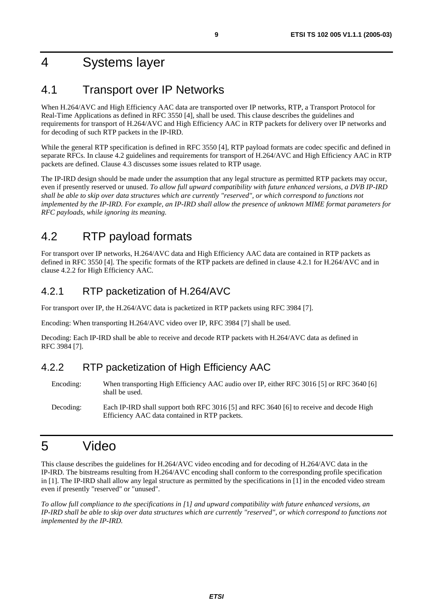# 4 Systems layer

### 4.1 Transport over IP Networks

When H.264/AVC and High Efficiency AAC data are transported over IP networks, RTP, a Transport Protocol for Real-Time Applications as defined in RFC 3550 [4], shall be used. This clause describes the guidelines and requirements for transport of H.264/AVC and High Efficiency AAC in RTP packets for delivery over IP networks and for decoding of such RTP packets in the IP-IRD.

While the general RTP specification is defined in RFC 3550 [4], RTP payload formats are codec specific and defined in separate RFCs. In clause 4.2 guidelines and requirements for transport of H.264/AVC and High Efficiency AAC in RTP packets are defined. Clause 4.3 discusses some issues related to RTP usage.

The IP-IRD design should be made under the assumption that any legal structure as permitted RTP packets may occur, even if presently reserved or unused. *To allow full upward compatibility with future enhanced versions, a DVB IP-IRD shall be able to skip over data structures which are currently "reserved", or which correspond to functions not implemented by the IP-IRD. For example, an IP-IRD shall allow the presence of unknown MIME format parameters for RFC payloads, while ignoring its meaning.*

# 4.2 RTP payload formats

For transport over IP networks, H.264/AVC data and High Efficiency AAC data are contained in RTP packets as defined in RFC 3550 [4]. The specific formats of the RTP packets are defined in clause 4.2.1 for H.264/AVC and in clause 4.2.2 for High Efficiency AAC.

#### 4.2.1 RTP packetization of H.264/AVC

For transport over IP, the H.264/AVC data is packetized in RTP packets using RFC 3984 [7].

Encoding: When transporting H.264/AVC video over IP, RFC 3984 [7] shall be used.

Decoding: Each IP-IRD shall be able to receive and decode RTP packets with H.264/AVC data as defined in RFC 3984 [7].

#### 4.2.2 RTP packetization of High Efficiency AAC

- Encoding: When transporting High Efficiency AAC audio over IP, either RFC 3016 [5] or RFC 3640 [6] shall be used.
- Decoding: Each IP-IRD shall support both RFC 3016 [5] and RFC 3640 [6] to receive and decode High Efficiency AAC data contained in RTP packets.

# 5 Video

This clause describes the guidelines for H.264/AVC video encoding and for decoding of H.264/AVC data in the IP-IRD. The bitstreams resulting from H.264/AVC encoding shall conform to the corresponding profile specification in [1]. The IP-IRD shall allow any legal structure as permitted by the specifications in [1] in the encoded video stream even if presently "reserved" or "unused"*.*

*To allow full compliance to the specifications in [*1*] and upward compatibility with future enhanced versions, an IP-IRD shall be able to skip over data structures which are currently "reserved", or which correspond to functions not implemented by the IP-IRD.*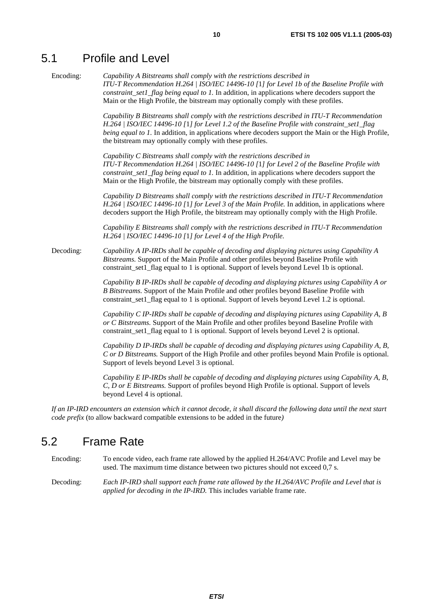#### 5.1 Profile and Level

Encoding: *Capability A Bitstreams shall comply with the restrictions described in ITU-T Recommendation H.264 | ISO/IEC 14496-10 [*1*] for Level 1b of the Baseline Profile with constraint\_set1\_flag being equal to 1.* In addition, in applications where decoders support the Main or the High Profile, the bitstream may optionally comply with these profiles.

> *Capability B Bitstreams shall comply with the restrictions described in ITU-T Recommendation H.264 | ISO/IEC 14496-10 [*1*] for Level 1.2 of the Baseline Profile with constraint\_set1\_flag being equal to 1.* In addition, in applications where decoders support the Main or the High Profile, the bitstream may optionally comply with these profiles.

*Capability C Bitstreams shall comply with the restrictions described in ITU-T Recommendation H.264 | ISO/IEC 14496-10 [*1*] for Level 2 of the Baseline Profile with constraint set1 flag being equal to 1.* In addition, in applications where decoders support the Main or the High Profile, the bitstream may optionally comply with these profiles.

*Capability D Bitstreams shall comply with the restrictions described in ITU-T Recommendation H.264 | ISO/IEC 14496-10 [*1*] for Level 3 of the Main Profile.* In addition, in applications where decoders support the High Profile, the bitstream may optionally comply with the High Profile.

*Capability E Bitstreams shall comply with the restrictions described in ITU-T Recommendation H.264 | ISO/IEC 14496-10 [*1*] for Level 4 of the High Profile.*

Decoding: *Capability A IP-IRDs shall be capable of decoding and displaying pictures using Capability A Bitstreams.* Support of the Main Profile and other profiles beyond Baseline Profile with constraint set1 flag equal to 1 is optional. Support of levels beyond Level 1b is optional.

> *Capability B IP-IRDs shall be capable of decoding and displaying pictures using Capability A or B Bitstreams.* Support of the Main Profile and other profiles beyond Baseline Profile with constraint set1 flag equal to 1 is optional. Support of levels beyond Level 1.2 is optional.

> *Capability C IP-IRDs shall be capable of decoding and displaying pictures using Capability A, B or C Bitstreams.* Support of the Main Profile and other profiles beyond Baseline Profile with constraint set1 flag equal to 1 is optional. Support of levels beyond Level 2 is optional.

> *Capability D IP-IRDs shall be capable of decoding and displaying pictures using Capability A, B, C or D Bitstreams.* Support of the High Profile and other profiles beyond Main Profile is optional. Support of levels beyond Level 3 is optional.

> *Capability E IP-IRDs shall be capable of decoding and displaying pictures using Capability A, B, C, D or E Bitstreams.* Support of profiles beyond High Profile is optional. Support of levels beyond Level 4 is optional.

*If an IP-IRD encounters an extension which it cannot decode, it shall discard the following data until the next start code prefix* (to allow backward compatible extensions to be added in the future*)*

#### 5.2 Frame Rate

Encoding: To encode video, each frame rate allowed by the applied H.264/AVC Profile and Level may be used. The maximum time distance between two pictures should not exceed 0,7 s.

Decoding: *Each IP-IRD shall support each frame rate allowed by the H.264/AVC Profile and Level that is applied for decoding in the IP-IRD.* This includes variable frame rate.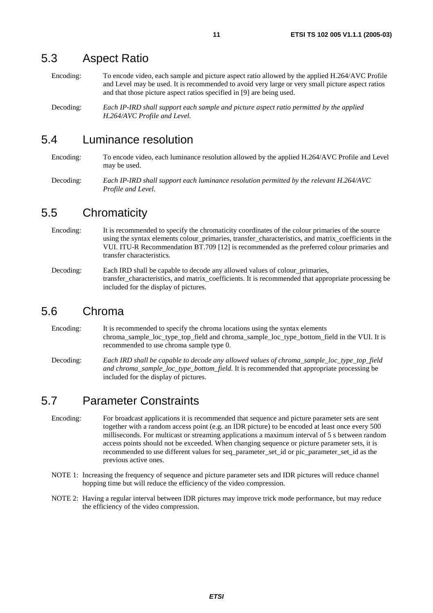#### 5.3 Aspect Ratio

Encoding: To encode video, each sample and picture aspect ratio allowed by the applied H.264/AVC Profile and Level may be used. It is recommended to avoid very large or very small picture aspect ratios and that those picture aspect ratios specified in [9] are being used.

Decoding: *Each IP-IRD shall support each sample and picture aspect ratio permitted by the applied H.264/AVC Profile and Level.*

#### 5.4 Luminance resolution

Encoding: To encode video, each luminance resolution allowed by the applied H.264/AVC Profile and Level may be used.

Decoding: *Each IP-IRD shall support each luminance resolution permitted by the relevant H.264/AVC Profile and Level.*

#### 5.5 Chromaticity

Encoding: It is recommended to specify the chromaticity coordinates of the colour primaries of the source using the syntax elements colour primaries, transfer characteristics, and matrix coefficients in the VUI. ITU-R Recommendation BT.709 [12] is recommended as the preferred colour primaries and transfer characteristics.

Decoding: Each IRD shall be capable to decode any allowed values of colour\_primaries, transfer\_characteristics, and matrix\_coefficients. It is recommended that appropriate processing be included for the display of pictures.

#### 5.6 Chroma

Encoding: It is recommended to specify the chroma locations using the syntax elements chroma\_sample\_loc\_type\_top\_field and chroma\_sample\_loc\_type\_bottom\_field in the VUI. It is recommended to use chroma sample type 0.

Decoding: *Each IRD shall be capable to decode any allowed values of chroma\_sample\_loc\_type\_top\_field and chroma\_sample\_loc\_type\_bottom\_field.* It is recommended that appropriate processing be included for the display of pictures.

#### 5.7 Parameter Constraints

- Encoding: For broadcast applications it is recommended that sequence and picture parameter sets are sent together with a random access point (e.g. an IDR picture) to be encoded at least once every 500 milliseconds. For multicast or streaming applications a maximum interval of 5 s between random access points should not be exceeded. When changing sequence or picture parameter sets, it is recommended to use different values for seq\_parameter\_set\_id or pic\_parameter\_set\_id as the previous active ones.
- NOTE 1: Increasing the frequency of sequence and picture parameter sets and IDR pictures will reduce channel hopping time but will reduce the efficiency of the video compression.
- NOTE 2: Having a regular interval between IDR pictures may improve trick mode performance, but may reduce the efficiency of the video compression.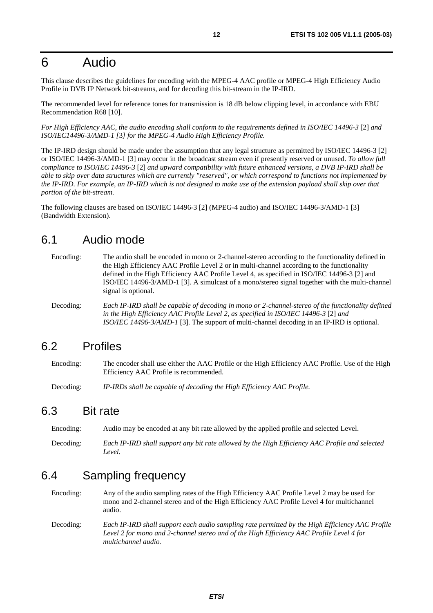### 6 Audio

This clause describes the guidelines for encoding with the MPEG-4 AAC profile or MPEG-4 High Efficiency Audio Profile in DVB IP Network bit-streams, and for decoding this bit-stream in the IP-IRD.

The recommended level for reference tones for transmission is 18 dB below clipping level, in accordance with EBU Recommendation R68 [10].

*For High Efficiency AAC, the audio encoding shall conform to the requirements defined in ISO/IEC 14496-3* [2] *and ISO/IEC14496-3/AMD-1 [*3*] for the MPEG-4 Audio High Efficiency Profile.* 

The IP-IRD design should be made under the assumption that any legal structure as permitted by ISO/IEC 14496-3 [2] or ISO/IEC 14496-3/AMD-1 [3] may occur in the broadcast stream even if presently reserved or unused. *To allow full compliance to ISO/IEC 14496-3* [2] *and upward compatibility with future enhanced versions, a DVB IP-IRD shall be able to skip over data structures which are currently "reserved", or which correspond to functions not implemented by the IP-IRD. For example, an IP-IRD which is not designed to make use of the extension payload shall skip over that portion of the bit-stream.*

The following clauses are based on ISO/IEC 14496-3 [2] (MPEG-4 audio) and ISO/IEC 14496-3/AMD-1 [3] (Bandwidth Extension).

#### 6.1 Audio mode

Encoding: The audio shall be encoded in mono or 2-channel-stereo according to the functionality defined in the High Efficiency AAC Profile Level 2 or in multi-channel according to the functionality defined in the High Efficiency AAC Profile Level 4, as specified in ISO/IEC 14496-3 [2] and ISO/IEC 14496-3/AMD-1 [3]. A simulcast of a mono/stereo signal together with the multi-channel signal is optional.

Decoding: *Each IP-IRD shall be capable of decoding in mono or 2-channel-stereo of the functionality defined in the High Efficiency AAC Profile Level 2, as specified in ISO/IEC 14496-3* [2] *and ISO/IEC 14496-3/AMD-1* [3]*.* The support of multi-channel decoding in an IP-IRD is optional.

#### 6.2 Profiles

Encoding: The encoder shall use either the AAC Profile or the High Efficiency AAC Profile. Use of the High Efficiency AAC Profile is recommended.

Decoding: *IP-IRDs shall be capable of decoding the High Efficiency AAC Profile.*

#### 6.3 Bit rate

Encoding: Audio may be encoded at any bit rate allowed by the applied profile and selected Level.

Decoding: *Each IP-IRD shall support any bit rate allowed by the High Efficiency AAC Profile and selected Level.* 

#### 6.4 Sampling frequency

Encoding: Any of the audio sampling rates of the High Efficiency AAC Profile Level 2 may be used for mono and 2-channel stereo and of the High Efficiency AAC Profile Level 4 for multichannel audio.

Decoding: *Each IP-IRD shall support each audio sampling rate permitted by the High Efficiency AAC Profile Level 2 for mono and 2-channel stereo and of the High Efficiency AAC Profile Level 4 for multichannel audio.*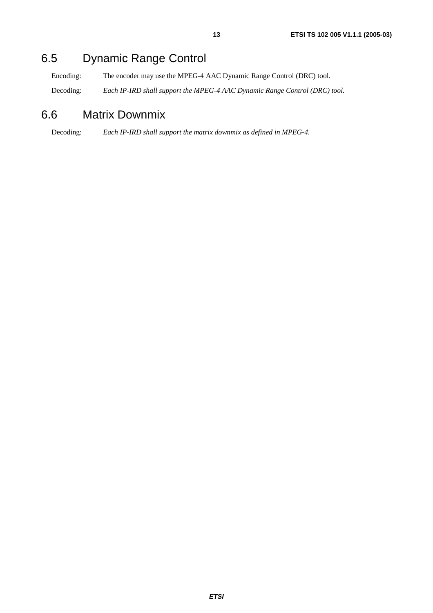# 6.5 Dynamic Range Control

Encoding: The encoder may use the MPEG-4 AAC Dynamic Range Control (DRC) tool.

Decoding: *Each IP-IRD shall support the MPEG-4 AAC Dynamic Range Control (DRC) tool.*

#### 6.6 Matrix Downmix

Decoding: *Each IP-IRD shall support the matrix downmix as defined in MPEG-4.*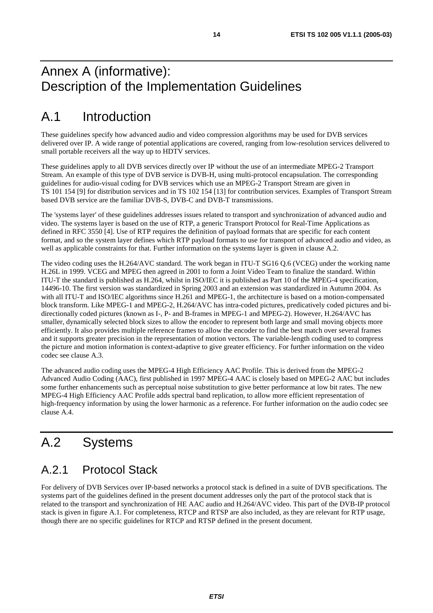# Annex A (informative): Description of the Implementation Guidelines

# A.1 Introduction

These guidelines specify how advanced audio and video compression algorithms may be used for DVB services delivered over IP. A wide range of potential applications are covered, ranging from low-resolution services delivered to small portable receivers all the way up to HDTV services.

These guidelines apply to all DVB services directly over IP without the use of an intermediate MPEG-2 Transport Stream. An example of this type of DVB service is DVB-H, using multi-protocol encapsulation. The corresponding guidelines for audio-visual coding for DVB services which use an MPEG-2 Transport Stream are given in TS 101 154 [9] for distribution services and in TS 102 154 [13] for contribution services. Examples of Transport Stream based DVB service are the familiar DVB-S, DVB-C and DVB-T transmissions.

The 'systems layer' of these guidelines addresses issues related to transport and synchronization of advanced audio and video. The systems layer is based on the use of RTP, a generic Transport Protocol for Real-Time Applications as defined in RFC 3550 [4]. Use of RTP requires the definition of payload formats that are specific for each content format, and so the system layer defines which RTP payload formats to use for transport of advanced audio and video, as well as applicable constraints for that. Further information on the systems layer is given in clause A.2.

The video coding uses the H.264/AVC standard. The work began in ITU-T SG16 Q.6 (VCEG) under the working name H.26L in 1999. VCEG and MPEG then agreed in 2001 to form a Joint Video Team to finalize the standard. Within ITU-T the standard is published as H.264, whilst in ISO/IEC it is published as Part 10 of the MPEG-4 specification, 14496-10. The first version was standardized in Spring 2003 and an extension was standardized in Autumn 2004. As with all ITU-T and ISO/IEC algorithms since H.261 and MPEG-1, the architecture is based on a motion-compensated block transform. Like MPEG-1 and MPEG-2, H.264/AVC has intra-coded pictures, predicatively coded pictures and bidirectionally coded pictures (known as I-, P- and B-frames in MPEG-1 and MPEG-2). However, H.264/AVC has smaller, dynamically selected block sizes to allow the encoder to represent both large and small moving objects more efficiently. It also provides multiple reference frames to allow the encoder to find the best match over several frames and it supports greater precision in the representation of motion vectors. The variable-length coding used to compress the picture and motion information is context-adaptive to give greater efficiency. For further information on the video codec see clause A.3.

The advanced audio coding uses the MPEG-4 High Efficiency AAC Profile. This is derived from the MPEG-2 Advanced Audio Coding (AAC), first published in 1997 MPEG-4 AAC is closely based on MPEG-2 AAC but includes some further enhancements such as perceptual noise substitution to give better performance at low bit rates. The new MPEG-4 High Efficiency AAC Profile adds spectral band replication, to allow more efficient representation of high-frequency information by using the lower harmonic as a reference. For further information on the audio codec see clause A.4.

# A.2 Systems

### A.2.1 Protocol Stack

For delivery of DVB Services over IP-based networks a protocol stack is defined in a suite of DVB specifications. The systems part of the guidelines defined in the present document addresses only the part of the protocol stack that is related to the transport and synchronization of HE AAC audio and H.264/AVC video. This part of the DVB-IP protocol stack is given in figure A.1. For completeness, RTCP and RTSP are also included, as they are relevant for RTP usage, though there are no specific guidelines for RTCP and RTSP defined in the present document.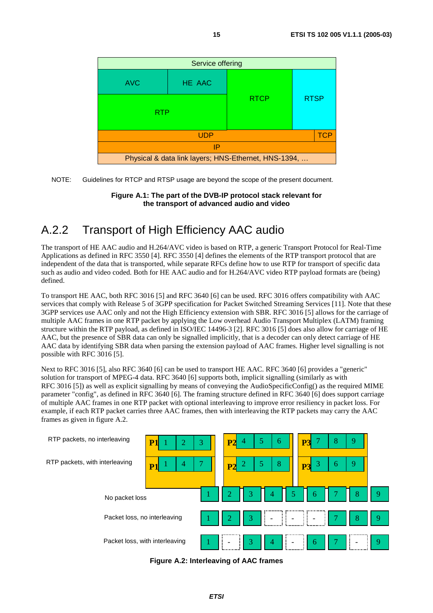

NOTE: Guidelines for RTCP and RTSP usage are beyond the scope of the present document.

**Figure A.1: The part of the DVB-IP protocol stack relevant for the transport of advanced audio and video** 

# A.2.2 Transport of High Efficiency AAC audio

The transport of HE AAC audio and H.264/AVC video is based on RTP, a generic Transport Protocol for Real-Time Applications as defined in RFC 3550 [4]. RFC 3550 [4] defines the elements of the RTP transport protocol that are independent of the data that is transported, while separate RFCs define how to use RTP for transport of specific data such as audio and video coded. Both for HE AAC audio and for H.264/AVC video RTP payload formats are (being) defined.

To transport HE AAC, both RFC 3016 [5] and RFC 3640 [6] can be used. RFC 3016 offers compatibility with AAC services that comply with Release 5 of 3GPP specification for Packet Switched Streaming Services [11]. Note that these 3GPP services use AAC only and not the High Efficiency extension with SBR. RFC 3016 [5] allows for the carriage of multiple AAC frames in one RTP packet by applying the Low overhead Audio Transport Multiplex (LATM) framing structure within the RTP payload, as defined in ISO/IEC 14496-3 [2]. RFC 3016 [5] does also allow for carriage of HE AAC, but the presence of SBR data can only be signalled implicitly, that is a decoder can only detect carriage of HE AAC data by identifying SBR data when parsing the extension payload of AAC frames. Higher level signalling is not possible with RFC 3016 [5].

Next to RFC 3016 [5], also RFC 3640 [6] can be used to transport HE AAC. RFC 3640 [6] provides a "generic" solution for transport of MPEG-4 data. RFC 3640 [6] supports both, implicit signalling (similarly as with RFC 3016 [5]) as well as explicit signalling by means of conveying the AudioSpecificConfig() as the required MIME parameter "config", as defined in RFC 3640 [6]. The framing structure defined in RFC 3640 [6] does support carriage of multiple AAC frames in one RTP packet with optional interleaving to improve error resiliency in packet loss. For example, if each RTP packet carries three AAC frames, then with interleaving the RTP packets may carry the AAC frames as given in figure A.2.



**Figure A.2: Interleaving of AAC frames**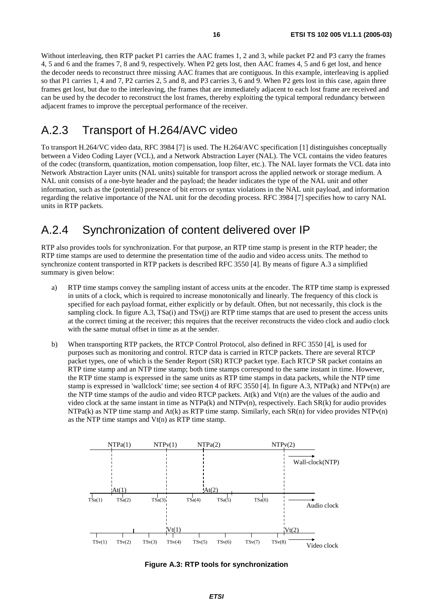Without interleaving, then RTP packet P1 carries the AAC frames 1, 2 and 3, while packet P2 and P3 carry the frames 4, 5 and 6 and the frames 7, 8 and 9, respectively. When P2 gets lost, then AAC frames 4, 5 and 6 get lost, and hence the decoder needs to reconstruct three missing AAC frames that are contiguous. In this example, interleaving is applied so that P1 carries 1, 4 and 7, P2 carries 2, 5 and 8, and P3 carries 3, 6 and 9. When P2 gets lost in this case, again three frames get lost, but due to the interleaving, the frames that are immediately adjacent to each lost frame are received and can be used by the decoder to reconstruct the lost frames, thereby exploiting the typical temporal redundancy between adjacent frames to improve the perceptual performance of the receiver.

#### A.2.3 Transport of H.264/AVC video

To transport H.264/VC video data, RFC 3984 [7] is used. The H.264/AVC specification [1] distinguishes conceptually between a Video Coding Layer (VCL), and a Network Abstraction Layer (NAL). The VCL contains the video features of the codec (transform, quantization, motion compensation, loop filter, etc.). The NAL layer formats the VCL data into Network Abstraction Layer units (NAL units) suitable for transport across the applied network or storage medium. A NAL unit consists of a one-byte header and the payload; the header indicates the type of the NAL unit and other information, such as the (potential) presence of bit errors or syntax violations in the NAL unit payload, and information regarding the relative importance of the NAL unit for the decoding process. RFC 3984 [7] specifies how to carry NAL units in RTP packets.

#### A.2.4 Synchronization of content delivered over IP

RTP also provides tools for synchronization. For that purpose, an RTP time stamp is present in the RTP header; the RTP time stamps are used to determine the presentation time of the audio and video access units. The method to synchronize content transported in RTP packets is described RFC 3550 [4]. By means of figure A.3 a simplified summary is given below:

- a) RTP time stamps convey the sampling instant of access units at the encoder. The RTP time stamp is expressed in units of a clock, which is required to increase monotonically and linearly. The frequency of this clock is specified for each payload format, either explicitly or by default. Often, but not necessarily, this clock is the sampling clock. In figure A.3,  $TSa(i)$  and  $TSv(i)$  are RTP time stamps that are used to present the access units at the correct timing at the receiver; this requires that the receiver reconstructs the video clock and audio clock with the same mutual offset in time as at the sender.
- b) When transporting RTP packets, the RTCP Control Protocol, also defined in RFC 3550 [4], is used for purposes such as monitoring and control. RTCP data is carried in RTCP packets. There are several RTCP packet types, one of which is the Sender Report (SR) RTCP packet type. Each RTCP SR packet contains an RTP time stamp and an NTP time stamp; both time stamps correspond to the same instant in time. However, the RTP time stamp is expressed in the same units as RTP time stamps in data packets, while the NTP time stamp is expressed in 'wallclock' time; see section 4 of RFC 3550 [4]. In figure A.3, NTPa(k) and NTPv(n) are the NTP time stamps of the audio and video RTCP packets.  $A<sup>t</sup>(k)$  and  $V<sup>t</sup>(n)$  are the values of the audio and video clock at the same instant in time as NTPa(k) and NTPv(n), respectively. Each SR(k) for audio provides  $NTPa(k)$  as NTP time stamp and At(k) as RTP time stamp. Similarly, each  $SR(n)$  for video provides  $NTPv(n)$ as the NTP time stamps and  $Vt(n)$  as RTP time stamp.



**Figure A.3: RTP tools for synchronization**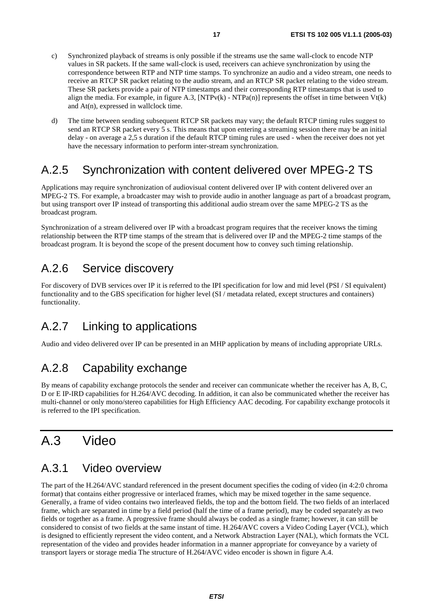- c) Synchronized playback of streams is only possible if the streams use the same wall-clock to encode NTP values in SR packets. If the same wall-clock is used, receivers can achieve synchronization by using the correspondence between RTP and NTP time stamps. To synchronize an audio and a video stream, one needs to receive an RTCP SR packet relating to the audio stream, and an RTCP SR packet relating to the video stream. These SR packets provide a pair of NTP timestamps and their corresponding RTP timestamps that is used to align the media. For example, in figure A.3,  $[NTPv(k) - NTPa(n)]$  represents the offset in time between  $Vt(k)$ and At(n), expressed in wallclock time.
- d) The time between sending subsequent RTCP SR packets may vary; the default RTCP timing rules suggest to send an RTCP SR packet every 5 s. This means that upon entering a streaming session there may be an initial delay - on average a 2,5 s duration if the default RTCP timing rules are used - when the receiver does not yet have the necessary information to perform inter-stream synchronization.

#### A.2.5 Synchronization with content delivered over MPEG-2 TS

Applications may require synchronization of audiovisual content delivered over IP with content delivered over an MPEG-2 TS. For example, a broadcaster may wish to provide audio in another language as part of a broadcast program, but using transport over IP instead of transporting this additional audio stream over the same MPEG-2 TS as the broadcast program.

Synchronization of a stream delivered over IP with a broadcast program requires that the receiver knows the timing relationship between the RTP time stamps of the stream that is delivered over IP and the MPEG-2 time stamps of the broadcast program. It is beyond the scope of the present document how to convey such timing relationship.

#### A.2.6 Service discovery

For discovery of DVB services over IP it is referred to the IPI specification for low and mid level (PSI / SI equivalent) functionality and to the GBS specification for higher level (SI / metadata related, except structures and containers) functionality.

### A.2.7 Linking to applications

Audio and video delivered over IP can be presented in an MHP application by means of including appropriate URLs.

# A.2.8 Capability exchange

By means of capability exchange protocols the sender and receiver can communicate whether the receiver has A, B, C, D or E IP-IRD capabilities for H.264/AVC decoding. In addition, it can also be communicated whether the receiver has multi-channel or only mono/stereo capabilities for High Efficiency AAC decoding. For capability exchange protocols it is referred to the IPI specification.

# A.3 Video

#### A.3.1 Video overview

The part of the H.264/AVC standard referenced in the present document specifies the coding of video (in 4:2:0 chroma format) that contains either progressive or interlaced frames, which may be mixed together in the same sequence. Generally, a frame of video contains two interleaved fields, the top and the bottom field. The two fields of an interlaced frame, which are separated in time by a field period (half the time of a frame period), may be coded separately as two fields or together as a frame. A progressive frame should always be coded as a single frame; however, it can still be considered to consist of two fields at the same instant of time. H.264/AVC covers a Video Coding Layer (VCL), which is designed to efficiently represent the video content, and a Network Abstraction Layer (NAL), which formats the VCL representation of the video and provides header information in a manner appropriate for conveyance by a variety of transport layers or storage media The structure of H.264/AVC video encoder is shown in figure A.4.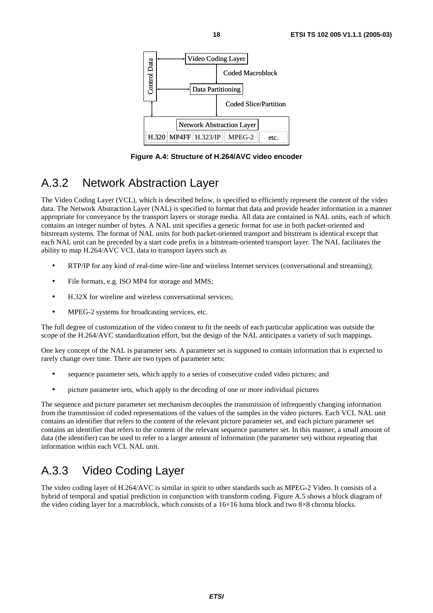

**Figure A.4: Structure of H.264/AVC video encoder** 

#### A.3.2 Network Abstraction Layer

The Video Coding Layer (VCL), which is described below, is specified to efficiently represent the content of the video data. The Network Abstraction Layer (NAL) is specified to format that data and provide header information in a manner appropriate for conveyance by the transport layers or storage media. All data are contained in NAL units, each of which contains an integer number of bytes. A NAL unit specifies a generic format for use in both packet-oriented and bitstream systems. The format of NAL units for both packet-oriented transport and bitstream is identical except that each NAL unit can be preceded by a start code prefix in a bitstream-oriented transport layer. The NAL facilitates the ability to map H.264/AVC VCL data to transport layers such as

- RTP/IP for any kind of real-time wire-line and wireless Internet services (conversational and streaming);
- File formats, e.g. ISO MP4 for storage and MMS;
- H.32X for wireline and wireless conversational services;
- MPEG-2 systems for broadcasting services, etc.

The full degree of customization of the video content to fit the needs of each particular application was outside the scope of the H.264/AVC standardization effort, but the design of the NAL anticipates a variety of such mappings.

One key concept of the NAL is parameter sets. A parameter set is supposed to contain information that is expected to rarely change over time. There are two types of parameter sets:

- sequence parameter sets, which apply to a series of consecutive coded video pictures; and
- picture parameter sets, which apply to the decoding of one or more individual pictures

The sequence and picture parameter set mechanism decouples the transmission of infrequently changing information from the transmission of coded representations of the values of the samples in the video pictures. Each VCL NAL unit contains an identifier that refers to the content of the relevant picture parameter set, and each picture parameter set contains an identifier that refers to the content of the relevant sequence parameter set. In this manner, a small amount of data (the identifier) can be used to refer to a larger amount of information (the parameter set) without repeating that information within each VCL NAL unit.

### A.3.3 Video Coding Layer

The video coding layer of H.264/AVC is similar in spirit to other standards such as MPEG-2 Video. It consists of a hybrid of temporal and spatial prediction in conjunction with transform coding. Figure A.5 shows a block diagram of the video coding layer for a macroblock, which consists of a 16×16 luma block and two 8×8 chroma blocks.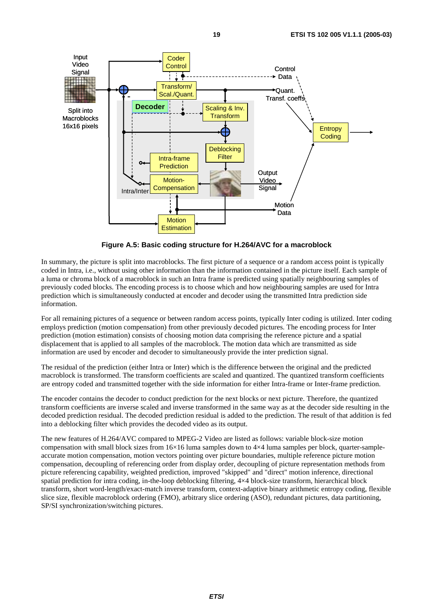

**Figure A.5: Basic coding structure for H.264/AVC for a macroblock** 

In summary, the picture is split into macroblocks. The first picture of a sequence or a random access point is typically coded in Intra, i.e., without using other information than the information contained in the picture itself. Each sample of a luma or chroma block of a macroblock in such an Intra frame is predicted using spatially neighbouring samples of previously coded blocks. The encoding process is to choose which and how neighbouring samples are used for Intra prediction which is simultaneously conducted at encoder and decoder using the transmitted Intra prediction side information.

For all remaining pictures of a sequence or between random access points, typically Inter coding is utilized. Inter coding employs prediction (motion compensation) from other previously decoded pictures. The encoding process for Inter prediction (motion estimation) consists of choosing motion data comprising the reference picture and a spatial displacement that is applied to all samples of the macroblock. The motion data which are transmitted as side information are used by encoder and decoder to simultaneously provide the inter prediction signal.

The residual of the prediction (either Intra or Inter) which is the difference between the original and the predicted macroblock is transformed. The transform coefficients are scaled and quantized. The quantized transform coefficients are entropy coded and transmitted together with the side information for either Intra-frame or Inter-frame prediction.

The encoder contains the decoder to conduct prediction for the next blocks or next picture. Therefore, the quantized transform coefficients are inverse scaled and inverse transformed in the same way as at the decoder side resulting in the decoded prediction residual. The decoded prediction residual is added to the prediction. The result of that addition is fed into a deblocking filter which provides the decoded video as its output.

The new features of H.264/AVC compared to MPEG-2 Video are listed as follows: variable block-size motion compensation with small block sizes from 16×16 luma samples down to 4×4 luma samples per block, quarter-sampleaccurate motion compensation, motion vectors pointing over picture boundaries, multiple reference picture motion compensation, decoupling of referencing order from display order, decoupling of picture representation methods from picture referencing capability, weighted prediction, improved "skipped" and "direct" motion inference, directional spatial prediction for intra coding, in-the-loop deblocking filtering, 4×4 block-size transform, hierarchical block transform, short word-length/exact-match inverse transform, context-adaptive binary arithmetic entropy coding, flexible slice size, flexible macroblock ordering (FMO), arbitrary slice ordering (ASO), redundant pictures, data partitioning, SP/SI synchronization/switching pictures.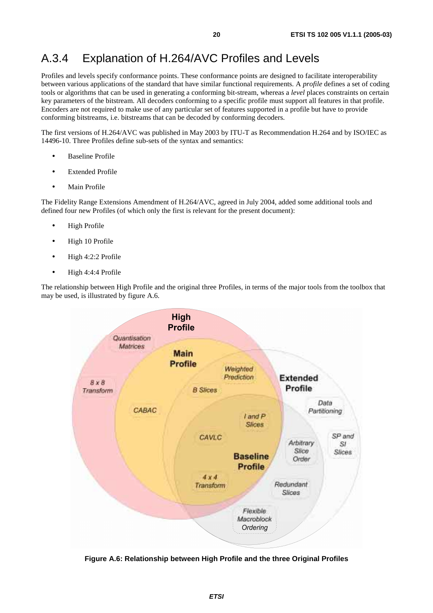#### A.3.4 Explanation of H.264/AVC Profiles and Levels

Profiles and levels specify conformance points. These conformance points are designed to facilitate interoperability between various applications of the standard that have similar functional requirements. A *profile* defines a set of coding tools or algorithms that can be used in generating a conforming bit-stream, whereas a *level* places constraints on certain key parameters of the bitstream. All decoders conforming to a specific profile must support all features in that profile. Encoders are not required to make use of any particular set of features supported in a profile but have to provide conforming bitstreams, i.e. bitstreams that can be decoded by conforming decoders.

The first versions of H.264/AVC was published in May 2003 by ITU-T as Recommendation H.264 and by ISO/IEC as 14496-10. Three Profiles define sub-sets of the syntax and semantics:

- **Baseline Profile**
- **Extended Profile**
- Main Profile

The Fidelity Range Extensions Amendment of H.264/AVC, agreed in July 2004, added some additional tools and defined four new Profiles (of which only the first is relevant for the present document):

- High Profile
- High 10 Profile
- High 4:2:2 Profile
- High 4:4:4 Profile

The relationship between High Profile and the original three Profiles, in terms of the major tools from the toolbox that may be used, is illustrated by figure A.6.



**Figure A.6: Relationship between High Profile and the three Original Profiles**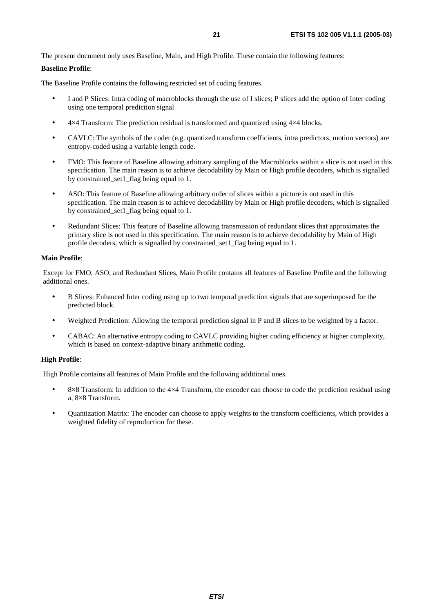The present document only uses Baseline, Main, and High Profile. These contain the following features:

#### **Baseline Profile**:

The Baseline Profile contains the following restricted set of coding features.

- I and P Slices: Intra coding of macroblocks through the use of I slices; P slices add the option of Inter coding using one temporal prediction signal
- $4\times4$  Transform: The prediction residual is transformed and quantized using  $4\times4$  blocks.
- CAVLC: The symbols of the coder (e.g. quantized transform coefficients, intra predictors, motion vectors) are entropy-coded using a variable length code.
- FMO: This feature of Baseline allowing arbitrary sampling of the Macroblocks within a slice is not used in this specification. The main reason is to achieve decodability by Main or High profile decoders, which is signalled by constrained\_set1\_flag being equal to 1.
- ASO: This feature of Baseline allowing arbitrary order of slices within a picture is not used in this specification. The main reason is to achieve decodability by Main or High profile decoders, which is signalled by constrained\_set1\_flag being equal to 1.
- Redundant Slices: This feature of Baseline allowing transmission of redundant slices that approximates the primary slice is not used in this specification. The main reason is to achieve decodability by Main of High profile decoders, which is signalled by constrained\_set1\_flag being equal to 1.

#### **Main Profile**:

Except for FMO, ASO, and Redundant Slices, Main Profile contains all features of Baseline Profile and the following additional ones.

- B Slices: Enhanced Inter coding using up to two temporal prediction signals that are superimposed for the predicted block.
- Weighted Prediction: Allowing the temporal prediction signal in P and B slices to be weighted by a factor.
- CABAC: An alternative entropy coding to CAVLC providing higher coding efficiency at higher complexity, which is based on context-adaptive binary arithmetic coding.

#### **High Profile**:

High Profile contains all features of Main Profile and the following additional ones.

- 8×8 Transform: In addition to the 4×4 Transform, the encoder can choose to code the prediction residual using a, 8×8 Transform.
- Quantization Matrix: The encoder can choose to apply weights to the transform coefficients, which provides a weighted fidelity of reproduction for these.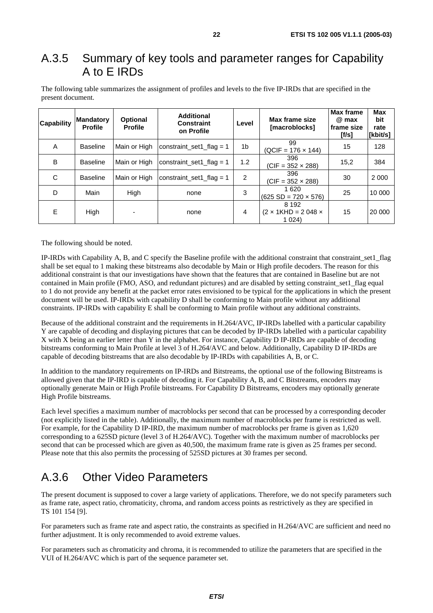#### A.3.5 Summary of key tools and parameter ranges for Capability A to E IRDs

| The following table summarizes the assignment of profiles and levels to the five IP-IRDs that are specified in the |  |  |  |  |
|--------------------------------------------------------------------------------------------------------------------|--|--|--|--|
| present document.                                                                                                  |  |  |  |  |

| <b>Capability</b> | <b>Mandatory</b><br><b>Profile</b> | <b>Optional</b><br><b>Profile</b> | <b>Additional</b><br><b>Constraint</b><br>on Profile | Level | Max frame size<br>[macroblocks]                        | <b>Max frame</b><br>@ max<br>l frame size<br>If/s] | <b>Max</b><br>bit<br>rate<br>[kbit/s] |
|-------------------|------------------------------------|-----------------------------------|------------------------------------------------------|-------|--------------------------------------------------------|----------------------------------------------------|---------------------------------------|
| A                 | <b>Baseline</b>                    | Main or High                      | constraint set1 flag = $1$                           | 1b    | 99<br>$(QCIF = 176 \times 144)$                        | 15                                                 | 128                                   |
| B                 | <b>Baseline</b>                    | Main or High                      | constraint set1 flag = $1$                           | 1.2   | 396<br>$(CIF = 352 \times 288)$                        | 15,2                                               | 384                                   |
| C                 | <b>Baseline</b>                    | Main or High                      | 2<br>constraint set1 flag = 1                        |       | 396<br>$(CIF = 352 \times 288)$                        | 30                                                 | 2 0 0 0                               |
| D                 | Main                               | High                              | none                                                 | 3     | 1 620<br>$(625 SD = 720 \times 576)$                   | 25                                                 | 10 000                                |
| E                 | High                               |                                   | none                                                 | 4     | 8 1 9 2<br>$(2 \times 1$ KHD = 2048 $\times$<br>1 024) | 15                                                 | 20 000                                |

The following should be noted.

IP-IRDs with Capability A, B, and C specify the Baseline profile with the additional constraint that constraint\_set1\_flag shall be set equal to 1 making these bitstreams also decodable by Main or High profile decoders. The reason for this additional constraint is that our investigations have shown that the features that are contained in Baseline but are not contained in Main profile (FMO, ASO, and redundant pictures) and are disabled by setting constraint\_set1\_flag equal to 1 do not provide any benefit at the packet error rates envisioned to be typical for the applications in which the present document will be used. IP-IRDs with capability D shall be conforming to Main profile without any additional constraints. IP-IRDs with capability E shall be conforming to Main profile without any additional constraints.

Because of the additional constraint and the requirements in H.264/AVC, IP-IRDs labelled with a particular capability Y are capable of decoding and displaying pictures that can be decoded by IP-IRDs labelled with a particular capability X with X being an earlier letter than Y in the alphabet. For instance, Capability D IP-IRDs are capable of decoding bitstreams conforming to Main Profile at level 3 of H.264/AVC and below. Additionally, Capability D IP-IRDs are capable of decoding bitstreams that are also decodable by IP-IRDs with capabilities A, B, or C.

In addition to the mandatory requirements on IP-IRDs and Bitstreams, the optional use of the following Bitstreams is allowed given that the IP-IRD is capable of decoding it. For Capability A, B, and C Bitstreams, encoders may optionally generate Main or High Profile bitstreams. For Capability D Bitstreams, encoders may optionally generate High Profile bitstreams.

Each level specifies a maximum number of macroblocks per second that can be processed by a corresponding decoder (not explicitly listed in the table). Additionally, the maximum number of macroblocks per frame is restricted as well. For example, for the Capability D IP-IRD, the maximum number of macroblocks per frame is given as 1,620 corresponding to a 625SD picture (level 3 of H.264/AVC). Together with the maximum number of macroblocks per second that can be processed which are given as 40,500, the maximum frame rate is given as 25 frames per second. Please note that this also permits the processing of 525SD pictures at 30 frames per second.

### A.3.6 Other Video Parameters

The present document is supposed to cover a large variety of applications. Therefore, we do not specify parameters such as frame rate, aspect ratio, chromaticity, chroma, and random access points as restrictively as they are specified in TS 101 154 [9].

For parameters such as frame rate and aspect ratio, the constraints as specified in H.264/AVC are sufficient and need no further adjustment. It is only recommended to avoid extreme values.

For parameters such as chromaticity and chroma, it is recommended to utilize the parameters that are specified in the VUI of H.264/AVC which is part of the sequence parameter set.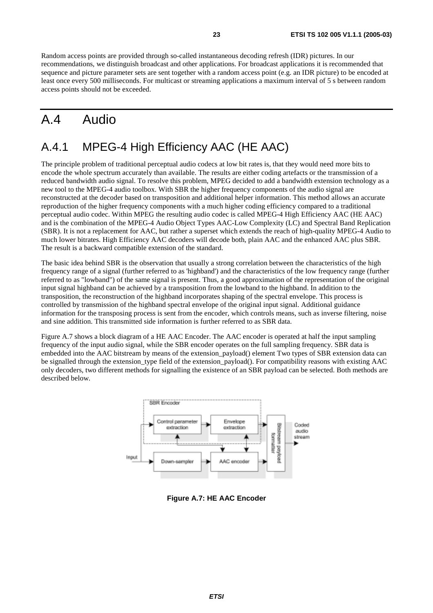# A.4 Audio

#### A.4.1 MPEG-4 High Efficiency AAC (HE AAC)

The principle problem of traditional perceptual audio codecs at low bit rates is, that they would need more bits to encode the whole spectrum accurately than available. The results are either coding artefacts or the transmission of a reduced bandwidth audio signal. To resolve this problem, MPEG decided to add a bandwidth extension technology as a new tool to the MPEG-4 audio toolbox. With SBR the higher frequency components of the audio signal are reconstructed at the decoder based on transposition and additional helper information. This method allows an accurate reproduction of the higher frequency components with a much higher coding efficiency compared to a traditional perceptual audio codec. Within MPEG the resulting audio codec is called MPEG-4 High Efficiency AAC (HE AAC) and is the combination of the MPEG-4 Audio Object Types AAC-Low Complexity (LC) and Spectral Band Replication (SBR). It is not a replacement for AAC, but rather a superset which extends the reach of high-quality MPEG-4 Audio to much lower bitrates. High Efficiency AAC decoders will decode both, plain AAC and the enhanced AAC plus SBR. The result is a backward compatible extension of the standard.

The basic idea behind SBR is the observation that usually a strong correlation between the characteristics of the high frequency range of a signal (further referred to as 'highband') and the characteristics of the low frequency range (further referred to as "lowband") of the same signal is present. Thus, a good approximation of the representation of the original input signal highband can be achieved by a transposition from the lowband to the highband. In addition to the transposition, the reconstruction of the highband incorporates shaping of the spectral envelope. This process is controlled by transmission of the highband spectral envelope of the original input signal. Additional guidance information for the transposing process is sent from the encoder, which controls means, such as inverse filtering, noise and sine addition. This transmitted side information is further referred to as SBR data.

Figure A.7 shows a block diagram of a HE AAC Encoder. The AAC encoder is operated at half the input sampling frequency of the input audio signal, while the SBR encoder operates on the full sampling frequency. SBR data is embedded into the AAC bitstream by means of the extension payload() element Two types of SBR extension data can be signalled through the extension\_type field of the extension\_payload(). For compatibility reasons with existing AAC only decoders, two different methods for signalling the existence of an SBR payload can be selected. Both methods are described below.



**Figure A.7: HE AAC Encoder**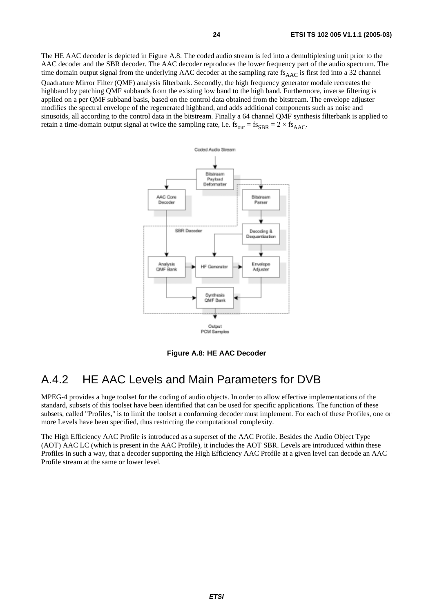The HE AAC decoder is depicted in Figure A.8. The coded audio stream is fed into a demultiplexing unit prior to the AAC decoder and the SBR decoder. The AAC decoder reproduces the lower frequency part of the audio spectrum. The time domain output signal from the underlying AAC decoder at the sampling rate  $f_{AAC}$  is first fed into a 32 channel Quadrature Mirror Filter (QMF) analysis filterbank. Secondly, the high frequency generator module recreates the highband by patching QMF subbands from the existing low band to the high band. Furthermore, inverse filtering is applied on a per QMF subband basis, based on the control data obtained from the bitstream. The envelope adjuster modifies the spectral envelope of the regenerated highband, and adds additional components such as noise and sinusoids, all according to the control data in the bitstream. Finally a 64 channel QMF synthesis filterbank is applied to retain a time-domain output signal at twice the sampling rate, i.e.  $fs_{out} = fs_{SBR} = 2 \times fs_{AAC}$ .



**Figure A.8: HE AAC Decoder** 

#### A.4.2 HE AAC Levels and Main Parameters for DVB

MPEG-4 provides a huge toolset for the coding of audio objects. In order to allow effective implementations of the standard, subsets of this toolset have been identified that can be used for specific applications. The function of these subsets, called "Profiles,'' is to limit the toolset a conforming decoder must implement. For each of these Profiles, one or more Levels have been specified, thus restricting the computational complexity.

The High Efficiency AAC Profile is introduced as a superset of the AAC Profile. Besides the Audio Object Type (AOT) AAC LC (which is present in the AAC Profile), it includes the AOT SBR. Levels are introduced within these Profiles in such a way, that a decoder supporting the High Efficiency AAC Profile at a given level can decode an AAC Profile stream at the same or lower level.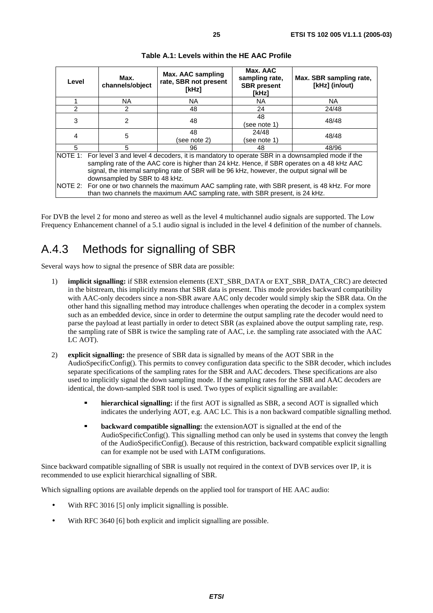| Level               | Max.<br>channels/object                                                                                                                                                                                                                                                                                                                                                                                                                       | Max. AAC sampling<br>rate, SBR not present<br>[kHz]                           | Max. AAC<br>sampling rate,<br><b>SBR</b> present<br>[kHz] | Max. SBR sampling rate,<br>[kHz] (in/out) |  |  |
|---------------------|-----------------------------------------------------------------------------------------------------------------------------------------------------------------------------------------------------------------------------------------------------------------------------------------------------------------------------------------------------------------------------------------------------------------------------------------------|-------------------------------------------------------------------------------|-----------------------------------------------------------|-------------------------------------------|--|--|
|                     | NA.                                                                                                                                                                                                                                                                                                                                                                                                                                           | NA.                                                                           | NA                                                        | NA.                                       |  |  |
| 2                   | 2                                                                                                                                                                                                                                                                                                                                                                                                                                             | 48                                                                            | 24                                                        | 24/48                                     |  |  |
| 3<br>$\overline{2}$ |                                                                                                                                                                                                                                                                                                                                                                                                                                               | 48                                                                            | 48<br>(see note 1)                                        | 48/48                                     |  |  |
| 5<br>$\overline{4}$ |                                                                                                                                                                                                                                                                                                                                                                                                                                               | 48<br>(see note 2)                                                            | 24/48<br>(see note 1)                                     | 48/48                                     |  |  |
| 5<br>5<br>96        |                                                                                                                                                                                                                                                                                                                                                                                                                                               | 48                                                                            | 48/96                                                     |                                           |  |  |
|                     | NOTE 1: For level 3 and level 4 decoders, it is mandatory to operate SBR in a downsampled mode if the<br>sampling rate of the AAC core is higher than 24 kHz. Hence, if SBR operates on a 48 kHz AAC<br>signal, the internal sampling rate of SBR will be 96 kHz, however, the output signal will be<br>downsampled by SBR to 48 kHz.<br>NOTE 2: For one or two channels the maximum AAC sampling rate, with SBR present, is 48 kHz. For more |                                                                               |                                                           |                                           |  |  |
|                     |                                                                                                                                                                                                                                                                                                                                                                                                                                               | than two channels the maximum AAC sampling rate, with SBR present, is 24 kHz. |                                                           |                                           |  |  |

**Table A.1: Levels within the HE AAC Profile** 

For DVB the level 2 for mono and stereo as well as the level 4 multichannel audio signals are supported. The Low Frequency Enhancement channel of a 5.1 audio signal is included in the level 4 definition of the number of channels.

#### A.4.3 Methods for signalling of SBR

Several ways how to signal the presence of SBR data are possible:

- 1) **implicit signalling:** if SBR extension elements (EXT\_SBR\_DATA or EXT\_SBR\_DATA\_CRC) are detected in the bitstream, this implicitly means that SBR data is present. This mode provides backward compatibility with AAC-only decoders since a non-SBR aware AAC only decoder would simply skip the SBR data. On the other hand this signalling method may introduce challenges when operating the decoder in a complex system such as an embedded device, since in order to determine the output sampling rate the decoder would need to parse the payload at least partially in order to detect SBR (as explained above the output sampling rate, resp. the sampling rate of SBR is twice the sampling rate of AAC, i.e. the sampling rate associated with the AAC LC AOT).
- 2) **explicit signalling:** the presence of SBR data is signalled by means of the AOT SBR in the AudioSpecificConfig(). This permits to convey configuration data specific to the SBR decoder, which includes separate specifications of the sampling rates for the SBR and AAC decoders. These specifications are also used to implicitly signal the down sampling mode. If the sampling rates for the SBR and AAC decoders are identical, the down-sampled SBR tool is used. Two types of explicit signalling are available:
	- **hierarchical signalling:** if the first AOT is signalled as SBR, a second AOT is signalled which indicates the underlying AOT, e.g. AAC LC. This is a non backward compatible signalling method.
	- **backward compatible signalling:** the extensionAOT is signalled at the end of the AudioSpecificConfig(). This signalling method can only be used in systems that convey the length of the AudioSpecificConfig(). Because of this restriction, backward compatible explicit signalling can for example not be used with LATM configurations.

Since backward compatible signalling of SBR is usually not required in the context of DVB services over IP, it is recommended to use explicit hierarchical signalling of SBR.

Which signalling options are available depends on the applied tool for transport of HE AAC audio:

- With RFC 3016 [5] only implicit signalling is possible.
- With RFC 3640 [6] both explicit and implicit signalling are possible.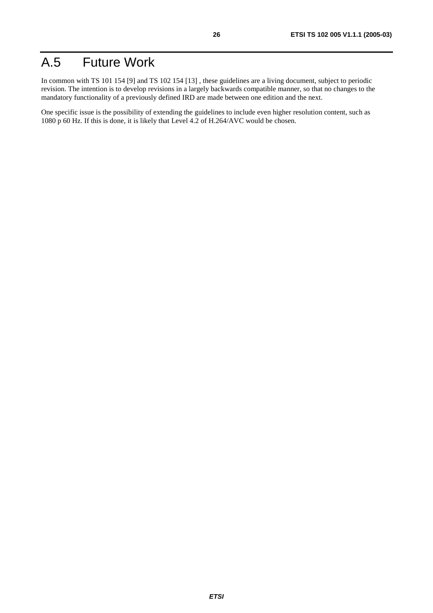# A.5 Future Work

In common with TS 101 154 [9] and TS 102 154 [13] , these guidelines are a living document, subject to periodic revision. The intention is to develop revisions in a largely backwards compatible manner, so that no changes to the mandatory functionality of a previously defined IRD are made between one edition and the next.

One specific issue is the possibility of extending the guidelines to include even higher resolution content, such as 1080 p 60 Hz. If this is done, it is likely that Level 4.2 of H.264/AVC would be chosen.